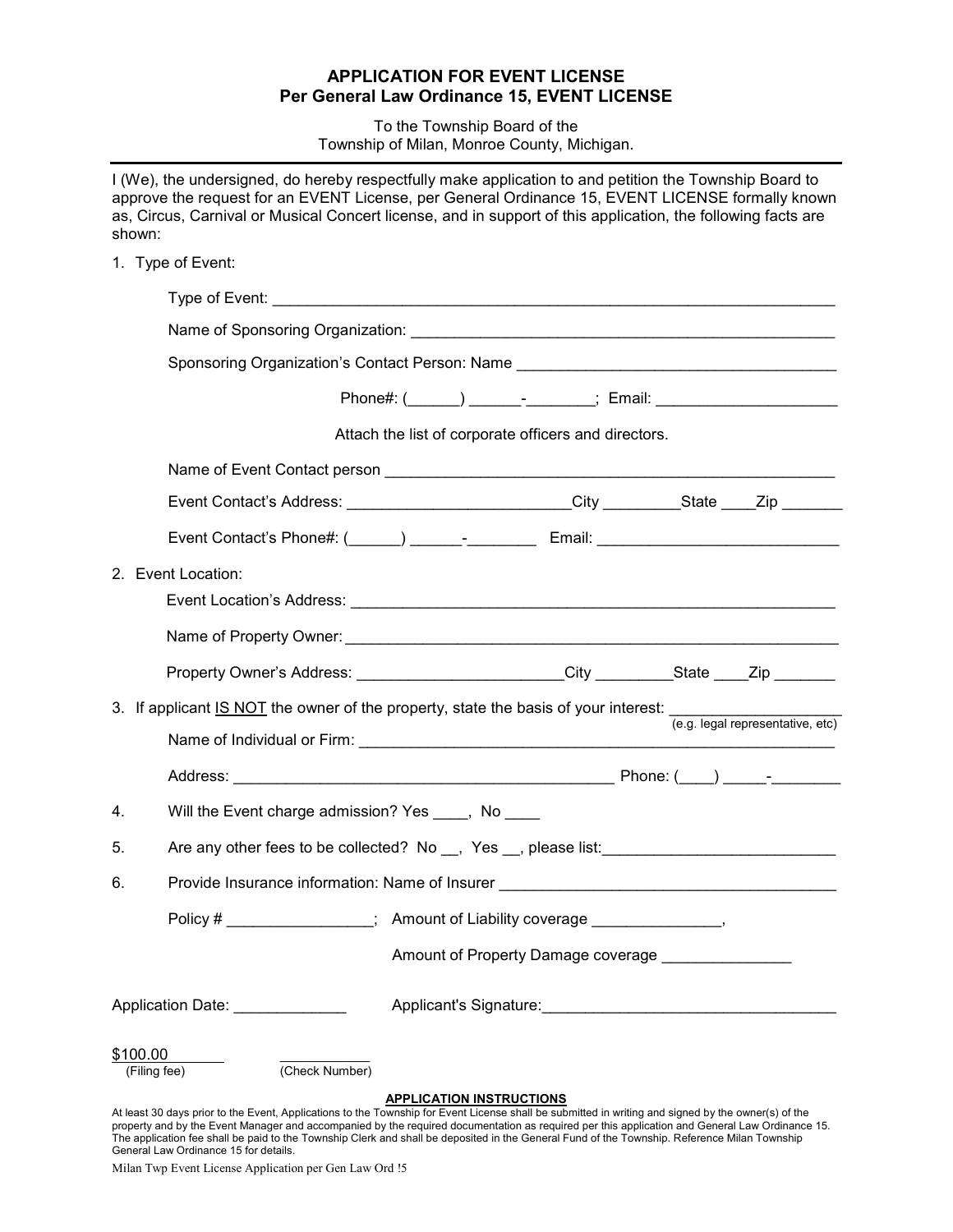## **APPLICATION FOR EVENT LICENSE Per General Law Ordinance 15, EVENT LICENSE**

To the Township Board of the Township of Milan, Monroe County, Michigan.

|    | shown: | I (We), the undersigned, do hereby respectfully make application to and petition the Township Board to<br>approve the request for an EVENT License, per General Ordinance 15, EVENT LICENSE formally known<br>as, Circus, Carnival or Musical Concert license, and in support of this application, the following facts are |                                                     |  |  |  |
|----|--------|----------------------------------------------------------------------------------------------------------------------------------------------------------------------------------------------------------------------------------------------------------------------------------------------------------------------------|-----------------------------------------------------|--|--|--|
|    |        | 1. Type of Event:                                                                                                                                                                                                                                                                                                          |                                                     |  |  |  |
|    |        |                                                                                                                                                                                                                                                                                                                            |                                                     |  |  |  |
|    |        | Sponsoring Organization's Contact Person: Name __________________________________                                                                                                                                                                                                                                          |                                                     |  |  |  |
|    |        |                                                                                                                                                                                                                                                                                                                            |                                                     |  |  |  |
|    |        |                                                                                                                                                                                                                                                                                                                            |                                                     |  |  |  |
|    |        | Attach the list of corporate officers and directors.                                                                                                                                                                                                                                                                       |                                                     |  |  |  |
|    |        |                                                                                                                                                                                                                                                                                                                            |                                                     |  |  |  |
|    |        | Event Contact's Address: _________________________City __________State ____Zip _______                                                                                                                                                                                                                                     |                                                     |  |  |  |
|    |        |                                                                                                                                                                                                                                                                                                                            |                                                     |  |  |  |
|    |        | 2. Event Location:                                                                                                                                                                                                                                                                                                         |                                                     |  |  |  |
|    |        |                                                                                                                                                                                                                                                                                                                            |                                                     |  |  |  |
|    |        | Property Owner's Address: ________________________City __________State ____Zip _______                                                                                                                                                                                                                                     |                                                     |  |  |  |
|    |        | 3. If applicant IS NOT the owner of the property, state the basis of your interest: $\frac{1}{(e.g. \text{ legal representative}, etc)}$                                                                                                                                                                                   |                                                     |  |  |  |
|    |        |                                                                                                                                                                                                                                                                                                                            |                                                     |  |  |  |
| 4. |        | Will the Event charge admission? Yes ____, No ____                                                                                                                                                                                                                                                                         |                                                     |  |  |  |
| 5. |        |                                                                                                                                                                                                                                                                                                                            |                                                     |  |  |  |
| 6. |        | Provide Insurance information: Name of Insurer _________________________________                                                                                                                                                                                                                                           |                                                     |  |  |  |
|    |        | Policy # _________________; Amount of Liability coverage _________________,                                                                                                                                                                                                                                                |                                                     |  |  |  |
|    |        |                                                                                                                                                                                                                                                                                                                            | Amount of Property Damage coverage ________________ |  |  |  |
|    |        | Application Date: ______________                                                                                                                                                                                                                                                                                           |                                                     |  |  |  |
|    |        | \$100.00<br>(Check Number)<br>(Filing fee)                                                                                                                                                                                                                                                                                 |                                                     |  |  |  |
|    |        | At least 30 days prior to the Event, Applications to the Township for Event License shall be submitted in writing and signed by the owner(s) of the                                                                                                                                                                        | <b>APPLICATION INSTRUCTIONS</b>                     |  |  |  |

property and by the Event Manager and accompanied by the required documentation as required per this application and General Law Ordinance 15. The application fee shall be paid to the Township Clerk and shall be deposited in the General Fund of the Township. Reference Milan Township General Law Ordinance 15 for details.

Milan Twp Event License Application per Gen Law Ord !5